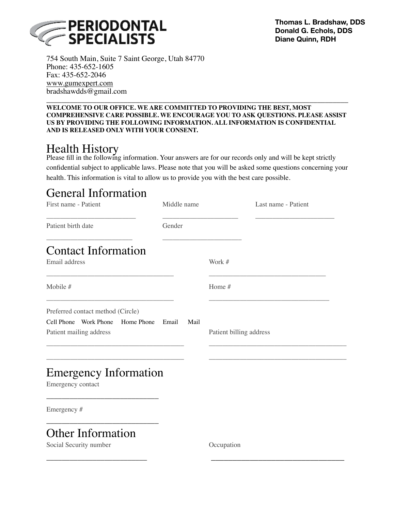

754 South Main, Suite 7 Saint George, Utah 84770 Phone: 435-652-1605 Fax: 435-652-2046 [www.gumexpert.com](http://www.gumexpert.com) bradshawdds@gmail.com

#### \_\_\_\_\_\_\_\_\_\_\_\_\_\_\_\_\_\_\_\_\_\_\_\_\_\_\_\_\_\_\_\_\_\_\_\_\_\_\_\_\_\_\_\_\_\_\_\_\_\_\_\_\_\_\_\_\_\_\_\_\_\_\_\_\_\_\_\_\_\_\_\_\_\_\_\_\_\_ **WELCOME TO OUR OFFICE. WE ARE COMMITTED TO PROVIDING THE BEST, MOST COMPREHENSIVE CARE POSSIBLE. WE ENCOURAGE YOU TO ASK QUESTIONS. PLEASE ASSIST US BY PROVIDING THE FOLLOWING INFORMATION. ALL INFORMATION IS CONFIDENTIAL AND IS RELEASED ONLY WITH YOUR CONSENT.**

### Health History

Please fill in the following information. Your answers are for our records only and will be kept strictly confidential subject to applicable laws. Please note that you will be asked some questions concerning your health. This information is vital to allow us to provide you with the best care possible.

# General Information

| First name - Patient                                           | Middle name |      |                         | Last name - Patient |  |  |
|----------------------------------------------------------------|-------------|------|-------------------------|---------------------|--|--|
| Patient birth date                                             | Gender      |      |                         |                     |  |  |
| <b>Contact Information</b><br>Email address                    |             |      | Work #                  |                     |  |  |
|                                                                |             |      |                         |                     |  |  |
| Mobile #                                                       |             |      | Home #                  |                     |  |  |
| Preferred contact method (Circle)                              |             |      |                         |                     |  |  |
| Cell Phone Work Phone<br>Home Phone<br>Patient mailing address | Email       | Mail | Patient billing address |                     |  |  |
|                                                                |             |      |                         |                     |  |  |
| <b>Emergency Information</b><br>Emergency contact              |             |      |                         |                     |  |  |
| Emergency #                                                    |             |      |                         |                     |  |  |
| <b>Other Information</b><br>Social Security number             |             |      | Occupation              |                     |  |  |
|                                                                |             |      |                         |                     |  |  |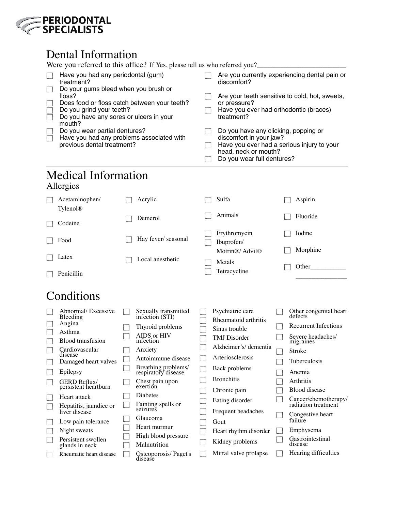

## Dental Information

Were you referred to this office? If Yes, please tell us who referred you?\_\_\_\_\_\_\_\_\_\_\_\_\_\_\_\_\_\_\_\_\_\_\_\_\_\_

| Have you had any periodontal (gum)<br>treatment?<br>Do your gums bleed when you brush or<br>floss?<br>Does food or floss catch between your teeth?<br>Do you grind your teeth?<br>Do you have any sores or ulcers in your<br>mouth?<br>Do you wear partial dentures?<br>Have you had any problems associated with<br>previous dental treatment?<br><b>Medical Information</b> |                                            | discomfort?<br>or pressure?<br>Have you ever had orthodontic (braces)<br>treatment?<br>Do you have any clicking, popping or<br>discomfort in your jaw?<br>Have you ever had a serious injury to your<br>head, neck or mouth?<br>Do you wear full dentures? | Are you currently experiencing dental pain or<br>Are your teeth sensitive to cold, hot, sweets, |
|-------------------------------------------------------------------------------------------------------------------------------------------------------------------------------------------------------------------------------------------------------------------------------------------------------------------------------------------------------------------------------|--------------------------------------------|------------------------------------------------------------------------------------------------------------------------------------------------------------------------------------------------------------------------------------------------------------|-------------------------------------------------------------------------------------------------|
| Allergies                                                                                                                                                                                                                                                                                                                                                                     |                                            |                                                                                                                                                                                                                                                            |                                                                                                 |
| Acetaminophen/<br>Tylenol®                                                                                                                                                                                                                                                                                                                                                    | Acrylic                                    | Sulfa                                                                                                                                                                                                                                                      | Aspirin                                                                                         |
| Codeine                                                                                                                                                                                                                                                                                                                                                                       | Demerol                                    | Animals                                                                                                                                                                                                                                                    | Fluoride                                                                                        |
| Food                                                                                                                                                                                                                                                                                                                                                                          | Hay fever/ seasonal                        | Erythromycin<br>Ibuprofen/<br>Motrin®/ Advil®                                                                                                                                                                                                              | Iodine<br>Morphine                                                                              |
| Latex                                                                                                                                                                                                                                                                                                                                                                         | Local anesthetic                           | Metals                                                                                                                                                                                                                                                     | Other_                                                                                          |
| Penicillin                                                                                                                                                                                                                                                                                                                                                                    |                                            | Tetracycline                                                                                                                                                                                                                                               |                                                                                                 |
| Conditions                                                                                                                                                                                                                                                                                                                                                                    |                                            |                                                                                                                                                                                                                                                            |                                                                                                 |
| Abnormal/Excessive                                                                                                                                                                                                                                                                                                                                                            | Sexually transmitted                       | Psychiatric care                                                                                                                                                                                                                                           | Other congenital heart<br>defects                                                               |
| Bleeding<br>Angina                                                                                                                                                                                                                                                                                                                                                            | infection (STI)                            | Rheumatoid arthritis                                                                                                                                                                                                                                       |                                                                                                 |
| Asthma                                                                                                                                                                                                                                                                                                                                                                        | Thyroid problems                           | Sinus trouble                                                                                                                                                                                                                                              | <b>Recurrent Infections</b>                                                                     |
| <b>Blood</b> transfusion                                                                                                                                                                                                                                                                                                                                                      | AIDS or HIV<br>infection                   | TMJ Disorder                                                                                                                                                                                                                                               | Severe headaches/<br>migraines                                                                  |
| Cardiovascular<br>disease                                                                                                                                                                                                                                                                                                                                                     | Anxiety                                    | Alzheimer's/dementia                                                                                                                                                                                                                                       | Stroke                                                                                          |
| Damaged heart valves                                                                                                                                                                                                                                                                                                                                                          | Autoimmune disease                         | Arteriosclerosis                                                                                                                                                                                                                                           | Tuberculosis                                                                                    |
| Epilepsy                                                                                                                                                                                                                                                                                                                                                                      | Breathing problems/<br>respiratory disease | Back problems                                                                                                                                                                                                                                              | Anemia                                                                                          |
| GERD Reflux/<br>persistent heartburn                                                                                                                                                                                                                                                                                                                                          | Chest pain upon<br>exertion                | <b>Bronchitis</b>                                                                                                                                                                                                                                          | Arthritis                                                                                       |
| Heart attack                                                                                                                                                                                                                                                                                                                                                                  | Diabetes                                   | Chronic pain                                                                                                                                                                                                                                               | <b>Blood</b> disease                                                                            |
| Hepatitis, jaundice or                                                                                                                                                                                                                                                                                                                                                        | Fainting spells or<br>seizures             | Eating disorder                                                                                                                                                                                                                                            | Cancer/chemotherapy/<br>radiation treatment                                                     |
| liver disease                                                                                                                                                                                                                                                                                                                                                                 | Glaucoma                                   | Frequent headaches                                                                                                                                                                                                                                         | Congestive heart                                                                                |
| Low pain tolerance                                                                                                                                                                                                                                                                                                                                                            | Heart murmur                               | Gout                                                                                                                                                                                                                                                       | failure                                                                                         |
| Night sweats                                                                                                                                                                                                                                                                                                                                                                  | High blood pressure                        | Heart rhythm disorder                                                                                                                                                                                                                                      | Emphysema                                                                                       |
| Persistent swollen<br>glands in neck                                                                                                                                                                                                                                                                                                                                          | Malnutrition                               | Kidney problems                                                                                                                                                                                                                                            | Gastrointestinal<br>disease                                                                     |
| Rheumatic heart disease                                                                                                                                                                                                                                                                                                                                                       | Osteoporosis/Paget's<br>disease            | Mitral valve prolapse                                                                                                                                                                                                                                      | Hearing difficulties                                                                            |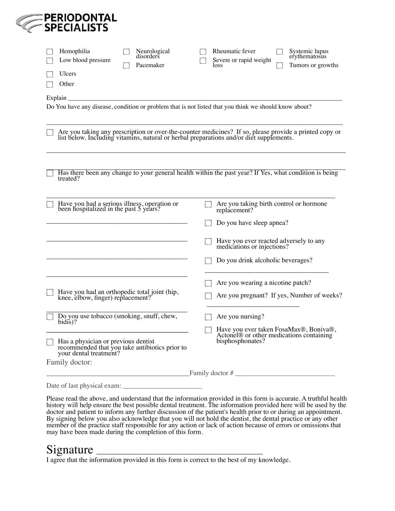

|                                           | Hemophilia<br>Neurological<br>disorders<br>Low blood pressure<br>Pacemaker                                                                                                                     |                                                                          | Rheumatic fever<br>Systemic lupus<br>erythematosus<br>Severe or rapid weight<br>Tumors or growths<br>loss |  |  |
|-------------------------------------------|------------------------------------------------------------------------------------------------------------------------------------------------------------------------------------------------|--------------------------------------------------------------------------|-----------------------------------------------------------------------------------------------------------|--|--|
|                                           | Ulcers<br>Other                                                                                                                                                                                |                                                                          |                                                                                                           |  |  |
|                                           | Explain                                                                                                                                                                                        |                                                                          |                                                                                                           |  |  |
|                                           | Do You have any disease, condition or problem that is not listed that you think we should know about?                                                                                          |                                                                          |                                                                                                           |  |  |
|                                           | Are you taking any prescription or over-the-counter medicines? If so, please provide a printed copy or list below. Including vitamins, natural or herbal preparations and/or diet supplements. |                                                                          |                                                                                                           |  |  |
|                                           | Has there been any change to your general health within the past year? If Yes, what condition is being<br>treated?                                                                             |                                                                          |                                                                                                           |  |  |
|                                           | Have you had a serious illness, operation or<br>been hospitalized in the past 5 years?                                                                                                         |                                                                          | Are you taking birth control or hormone<br>replacement?                                                   |  |  |
|                                           |                                                                                                                                                                                                |                                                                          | Do you have sleep apnea?                                                                                  |  |  |
|                                           |                                                                                                                                                                                                |                                                                          | Have you ever reacted adversely to any<br>medications or injections?                                      |  |  |
|                                           |                                                                                                                                                                                                |                                                                          | Do you drink alcoholic beverages?                                                                         |  |  |
|                                           |                                                                                                                                                                                                |                                                                          | Are you wearing a nicotine patch?                                                                         |  |  |
|                                           | Have you had an orthopedic total joint (hip,<br>knee, elbow, finger) replacement?                                                                                                              |                                                                          | Are you pregnant? If yes, Number of weeks?                                                                |  |  |
| Do you use tobacco (smoking, snuff, chew, |                                                                                                                                                                                                |                                                                          | Are you nursing?                                                                                          |  |  |
|                                           | bidis)?                                                                                                                                                                                        |                                                                          | Have you ever taken FosaMax®, Boniva®,                                                                    |  |  |
|                                           | Has a physician or previous dentist<br>recommended that you take antibiotics prior to<br>your dental treatment?                                                                                | Actonel <sup>®</sup> or other medications containing<br>bisphosphonates? |                                                                                                           |  |  |
|                                           | Family doctor:                                                                                                                                                                                 |                                                                          |                                                                                                           |  |  |
|                                           |                                                                                                                                                                                                |                                                                          |                                                                                                           |  |  |
|                                           | Date of last physical exam:                                                                                                                                                                    |                                                                          |                                                                                                           |  |  |

Please read the above, and understand that the information provided in this form is accurate. A truthful health history will help ensure the best possible dental treatment. The information provided here will be used by the doctor and patient to inform any further discussion of the patient's health prior to or during an appointment. By signing below you also acknowledge that you will not hold the dentist, the dental practice or any other member of the practice staff responsible for any action or lack of action because of errors or omissions that may have been made during the completion of this form.

### Signature \_\_\_\_\_\_\_\_\_\_\_\_\_\_\_\_\_\_\_\_\_\_\_\_\_\_\_\_\_\_\_\_\_\_\_\_\_\_\_\_\_\_\_

I agree that the information provided in this form is correct to the best of my knowledge.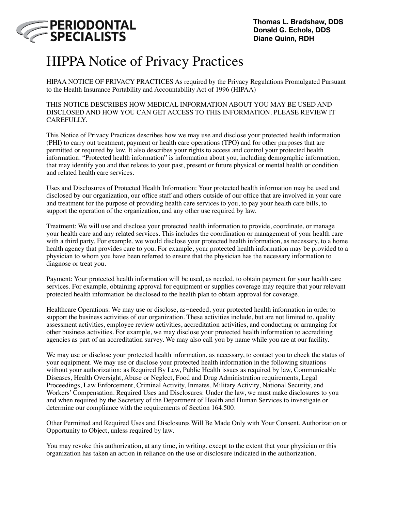

# HIPPA Notice of Privacy Practices

HIPAA NOTICE OF PRIVACY PRACTICES As required by the Privacy Regulations Promulgated Pursuant to the Health Insurance Portability and Accountability Act of 1996 (HIPAA)

#### THIS NOTICE DESCRIBES HOW MEDICAL INFORMATION ABOUT YOU MAY BE USED AND DISCLOSED AND HOW YOU CAN GET ACCESS TO THIS INFORMATION. PLEASE REVIEW IT CAREFULLY.

This Notice of Privacy Practices describes how we may use and disclose your protected health information (PHI) to carry out treatment, payment or health care operations (TPO) and for other purposes that are permitted or required by law. It also describes your rights to access and control your protected health information. "Protected health information" is information about you, including demographic information, that may identify you and that relates to your past, present or future physical or mental health or condition and related health care services.

Uses and Disclosures of Protected Health Information: Your protected health information may be used and disclosed by our organization, our office staff and others outside of our office that are involved in your care and treatment for the purpose of providing health care services to you, to pay your health care bills, to support the operation of the organization, and any other use required by law.

Treatment: We will use and disclose your protected health information to provide, coordinate, or manage your health care and any related services. This includes the coordination or management of your health care with a third party. For example, we would disclose your protected health information, as necessary, to a home health agency that provides care to you. For example, your protected health information may be provided to a physician to whom you have been referred to ensure that the physician has the necessary information to diagnose or treat you.

Payment: Your protected health information will be used, as needed, to obtain payment for your health care services. For example, obtaining approval for equipment or supplies coverage may require that your relevant protected health information be disclosed to the health plan to obtain approval for coverage.

Healthcare Operations: We may use or disclose, as-needed, your protected health information in order to support the business activities of our organization. These activities include, but are not limited to, quality assessment activities, employee review activities, accreditation activities, and conducting or arranging for other business activities. For example, we may disclose your protected health information to accrediting agencies as part of an accreditation survey. We may also call you by name while you are at our facility.

We may use or disclose your protected health information, as necessary, to contact you to check the status of your equipment. We may use or disclose your protected health information in the following situations without your authorization: as Required By Law, Public Health issues as required by law, Communicable Diseases, Health Oversight, Abuse or Neglect, Food and Drug Administration requirements, Legal Proceedings, Law Enforcement, Criminal Activity, Inmates, Military Activity, National Security, and Workers' Compensation. Required Uses and Disclosures: Under the law, we must make disclosures to you and when required by the Secretary of the Department of Health and Human Services to investigate or determine our compliance with the requirements of Section 164.500.

Other Permitted and Required Uses and Disclosures Will Be Made Only with Your Consent, Authorization or Opportunity to Object, unless required by law.

You may revoke this authorization, at any time, in writing, except to the extent that your physician or this organization has taken an action in reliance on the use or disclosure indicated in the authorization.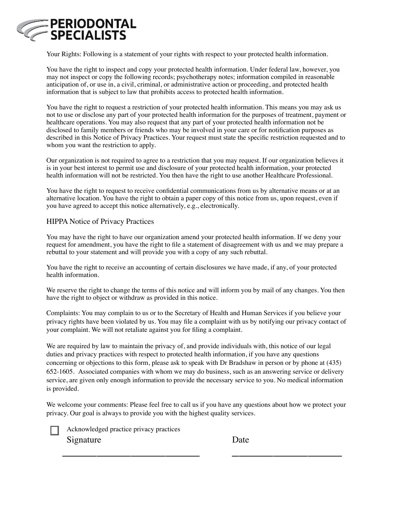

Your Rights: Following is a statement of your rights with respect to your protected health information.

You have the right to inspect and copy your protected health information. Under federal law, however, you may not inspect or copy the following records; psychotherapy notes; information compiled in reasonable anticipation of, or use in, a civil, criminal, or administrative action or proceeding, and protected health information that is subject to law that prohibits access to protected health information.

You have the right to request a restriction of your protected health information. This means you may ask us not to use or disclose any part of your protected health information for the purposes of treatment, payment or healthcare operations. You may also request that any part of your protected health information not be disclosed to family members or friends who may be involved in your care or for notification purposes as described in this Notice of Privacy Practices. Your request must state the specific restriction requested and to whom you want the restriction to apply.

Our organization is not required to agree to a restriction that you may request. If our organization believes it is in your best interest to permit use and disclosure of your protected health information, your protected health information will not be restricted. You then have the right to use another Healthcare Professional.

You have the right to request to receive confidential communications from us by alternative means or at an alternative location. You have the right to obtain a paper copy of this notice from us, upon request, even if you have agreed to accept this notice alternatively, e.g., electronically.

#### HIPPA Notice of Privacy Practices

You may have the right to have our organization amend your protected health information. If we deny your request for amendment, you have the right to file a statement of disagreement with us and we may prepare a rebuttal to your statement and will provide you with a copy of any such rebuttal.

You have the right to receive an accounting of certain disclosures we have made, if any, of your protected health information.

We reserve the right to change the terms of this notice and will inform you by mail of any changes. You then have the right to object or withdraw as provided in this notice.

Complaints: You may complain to us or to the Secretary of Health and Human Services if you believe your privacy rights have been violated by us. You may file a complaint with us by notifying our privacy contact of your complaint. We will not retaliate against you for filing a complaint.

We are required by law to maintain the privacy of, and provide individuals with, this notice of our legal duties and privacy practices with respect to protected health information, if you have any questions concerning or objections to this form, please ask to speak with Dr Bradshaw in person or by phone at (435) 652-1605. Associated companies with whom we may do business, such as an answering service or delivery service, are given only enough information to provide the necessary service to you. No medical information is provided.

We welcome your comments: Please feel free to call us if you have any questions about how we protect your privacy. Our goal is always to provide you with the highest quality services.

Acknowledged practice privacy practices Signature Date  $\overline{\phantom{a}}$  , which is a set of the set of the set of the set of the set of the set of the set of the set of the set of the set of the set of the set of the set of the set of the set of the set of the set of the set of th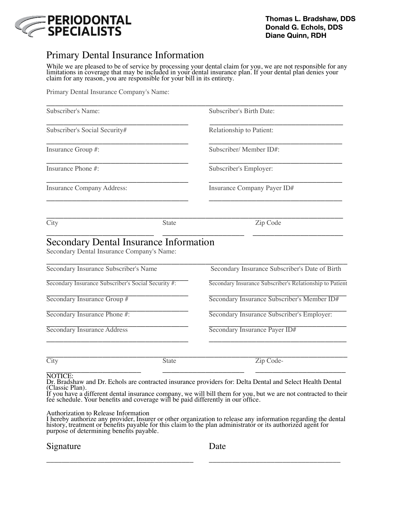

### Primary Dental Insurance Information

While we are pleased to be of service by processing your dental claim for you, we are not responsible for any limitations in coverage that may be included in your dental insurance plan. If your dental plan denies your claim for any reason, you are responsible for your bill in its entirety.

Primary Dental Insurance Company's Name:

| Subscriber's Name:<br>Subscriber's Social Security#<br>Insurance Group #:<br>Insurance Phone #:<br><b>Insurance Company Address:</b> |              | Subscriber's Birth Date:<br>Relationship to Patient:<br>Subscriber/ Member ID#:<br>Subscriber's Employer:<br>Insurance Company Payer ID# |  |  |  |                                                                                                                    |              |                                                                                                                                                       |
|--------------------------------------------------------------------------------------------------------------------------------------|--------------|------------------------------------------------------------------------------------------------------------------------------------------|--|--|--|--------------------------------------------------------------------------------------------------------------------|--------------|-------------------------------------------------------------------------------------------------------------------------------------------------------|
|                                                                                                                                      |              |                                                                                                                                          |  |  |  | City                                                                                                               | <b>State</b> | Zip Code                                                                                                                                              |
|                                                                                                                                      |              |                                                                                                                                          |  |  |  | <b>Secondary Dental Insurance Information</b><br>Secondary Dental Insurance Company's Name:                        |              |                                                                                                                                                       |
|                                                                                                                                      |              |                                                                                                                                          |  |  |  | Secondary Insurance Subscriber's Name                                                                              |              | Secondary Insurance Subscriber's Date of Birth                                                                                                        |
|                                                                                                                                      |              |                                                                                                                                          |  |  |  | Secondary Insurance Subscriber's Social Security #:<br>Secondary Insurance Group #<br>Secondary Insurance Phone #: |              | Secondary Insurance Subscriber's Relationship to Patient<br>Secondary Insurance Subscriber's Member ID#<br>Secondary Insurance Subscriber's Employer: |
| Secondary Insurance Address                                                                                                          |              | Secondary Insurance Payer ID#                                                                                                            |  |  |  |                                                                                                                    |              |                                                                                                                                                       |
| $\overline{City}$                                                                                                                    | <b>State</b> | Zip Code-                                                                                                                                |  |  |  |                                                                                                                    |              |                                                                                                                                                       |

\_\_\_\_\_\_\_\_\_\_\_\_\_\_\_\_\_\_\_\_\_\_ \_\_\_\_\_\_\_\_\_\_\_\_\_\_\_\_\_\_\_ \_\_\_\_\_\_\_\_\_\_\_\_\_\_\_\_\_\_\_\_\_ NOTICE: Dr. Bradshaw and Dr. Echols are contracted insurance providers for: Delta Dental and Select Health Dental (Classic Plan).

If you have a different dental insurance company, we will bill them for you, but we are not contracted to their fee schedule. Your benefits and coverage will be paid differently in our office.

#### Authorization to Release Information

I hereby authorize any provider, Insurer or other organization to release any information regarding the dental history, treatment or benefits payable for this claim to the plan administrator or its authorized agent for<br>purpose of determining benefits payable.

\_\_\_\_\_\_\_\_\_\_\_\_\_\_\_\_\_\_\_\_\_\_\_\_\_\_\_\_\_\_\_\_\_\_\_\_\_\_ \_\_\_\_\_\_\_\_\_\_\_\_\_\_\_\_\_\_\_\_\_\_\_\_\_\_\_\_\_\_\_\_\_\_

Signature Date